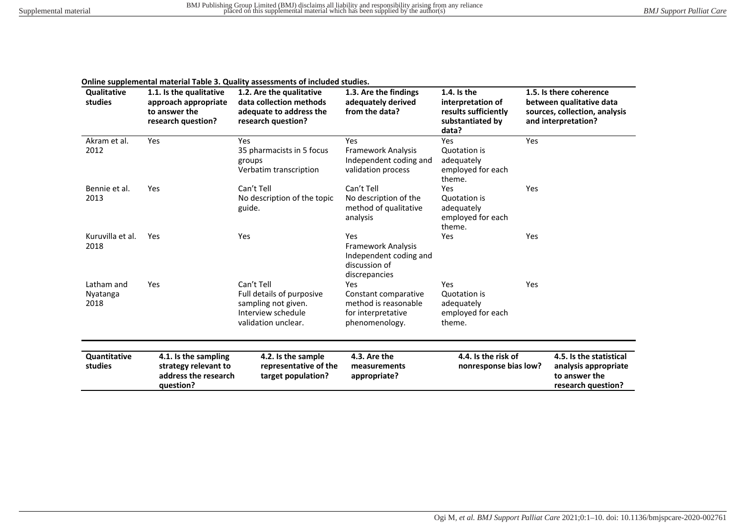| <b>Qualitative</b><br>studies  | 1.1. Is the qualitative<br>approach appropriate<br>to answer the<br>research question? | 1.2. Are the qualitative<br>data collection methods<br>adequate to address the<br>research question?        | 1.3. Are the findings<br>adequately derived<br>from the data?                                | 1.4. Is the<br>interpretation of<br>results sufficiently<br>substantiated by<br>data? | 1.5. Is there coherence<br>between qualitative data<br>sources, collection, analysis<br>and interpretation? |
|--------------------------------|----------------------------------------------------------------------------------------|-------------------------------------------------------------------------------------------------------------|----------------------------------------------------------------------------------------------|---------------------------------------------------------------------------------------|-------------------------------------------------------------------------------------------------------------|
| Akram et al.<br>2012           | Yes                                                                                    | Yes<br>35 pharmacists in 5 focus<br>groups<br>Verbatim transcription                                        | Yes<br><b>Framework Analysis</b><br>Independent coding and<br>validation process             | Yes<br>Quotation is<br>adequately<br>employed for each<br>theme.                      | Yes                                                                                                         |
| Bennie et al.<br>2013          | Yes                                                                                    | Can't Tell<br>No description of the topic<br>guide.                                                         | Can't Tell<br>No description of the<br>method of qualitative<br>analysis                     | <b>Yes</b><br>Quotation is<br>adequately<br>employed for each<br>theme.               | Yes                                                                                                         |
| Kuruvilla et al.<br>2018       | Yes                                                                                    | Yes                                                                                                         | Yes<br><b>Framework Analysis</b><br>Independent coding and<br>discussion of<br>discrepancies | Yes                                                                                   | Yes                                                                                                         |
| Latham and<br>Nyatanga<br>2018 | Yes                                                                                    | Can't Tell<br>Full details of purposive<br>sampling not given.<br>Interview schedule<br>validation unclear. | Yes<br>Constant comparative<br>method is reasonable<br>for interpretative<br>phenomenology.  | Yes<br>Quotation is<br>adequately<br>employed for each<br>theme.                      | Yes                                                                                                         |
| Quantitative<br>studies        | 4.1. Is the sampling<br>strategy relevant to<br>address the research<br>question?      | 4.2. Is the sample<br>representative of the<br>target population?                                           | 4.3. Are the<br>measurements<br>appropriate?                                                 | $4.4.$ Is the risk of<br>nonresponse bias low?                                        | 4.5. Is the statistical<br>analysis appropriate<br>to answer the<br>research question?                      |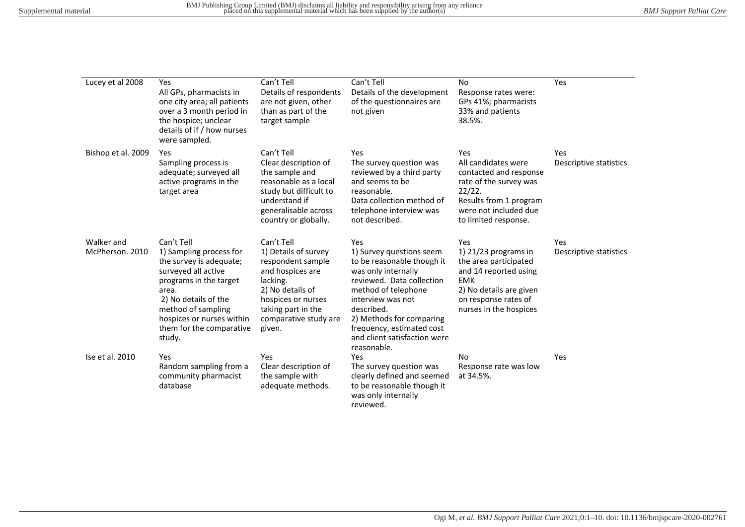| Lucey et al 2008              | Yes<br>All GPs, pharmacists in<br>one city area; all patients<br>over a 3 month period in<br>the hospice; unclear<br>details of if / how nurses<br>were sampled.                                                                            | Can't Tell<br>Details of respondents<br>are not given, other<br>than as part of the<br>target sample                                                                                       | Can't Tell<br>Details of the development<br>of the questionnaires are<br>not given                                                                                                                                                                                                  | <b>No</b><br>Response rates were:<br>GPs 41%; pharmacists<br>33% and patients<br>38.5%.                                                                                    | Yes                           |
|-------------------------------|---------------------------------------------------------------------------------------------------------------------------------------------------------------------------------------------------------------------------------------------|--------------------------------------------------------------------------------------------------------------------------------------------------------------------------------------------|-------------------------------------------------------------------------------------------------------------------------------------------------------------------------------------------------------------------------------------------------------------------------------------|----------------------------------------------------------------------------------------------------------------------------------------------------------------------------|-------------------------------|
| Bishop et al. 2009            | Yes<br>Sampling process is<br>adequate; surveyed all<br>active programs in the<br>target area                                                                                                                                               | Can't Tell<br>Clear description of<br>the sample and<br>reasonable as a local<br>study but difficult to<br>understand if<br>generalisable across<br>country or globally.                   | Yes<br>The survey question was<br>reviewed by a third party<br>and seems to be<br>reasonable.<br>Data collection method of<br>telephone interview was<br>not described.                                                                                                             | Yes<br>All candidates were<br>contacted and response<br>rate of the survey was<br>22/22.<br>Results from 1 program<br>were not included due<br>to limited response.        | Yes<br>Descriptive statistics |
| Walker and<br>McPherson. 2010 | Can't Tell<br>1) Sampling process for<br>the survey is adequate;<br>surveyed all active<br>programs in the target<br>area.<br>2) No details of the<br>method of sampling<br>hospices or nurses within<br>them for the comparative<br>study. | Can't Tell<br>1) Details of survey<br>respondent sample<br>and hospices are<br>lacking.<br>2) No details of<br>hospices or nurses<br>taking part in the<br>comparative study are<br>given. | Yes<br>1) Survey questions seem<br>to be reasonable though it<br>was only internally<br>reviewed. Data collection<br>method of telephone<br>interview was not<br>described.<br>2) Methods for comparing<br>frequency, estimated cost<br>and client satisfaction were<br>reasonable. | Yes<br>1) $21/23$ programs in<br>the area participated<br>and 14 reported using<br><b>EMK</b><br>2) No details are given<br>on response rates of<br>nurses in the hospices | Yes<br>Descriptive statistics |
| Ise et al. 2010               | Yes<br>Random sampling from a<br>community pharmacist<br>database                                                                                                                                                                           | Yes<br>Clear description of<br>the sample with<br>adequate methods.                                                                                                                        | Yes<br>The survey question was<br>clearly defined and seemed<br>to be reasonable though it<br>was only internally<br>reviewed.                                                                                                                                                      | <b>No</b><br>Response rate was low<br>at 34.5%.                                                                                                                            | Yes                           |